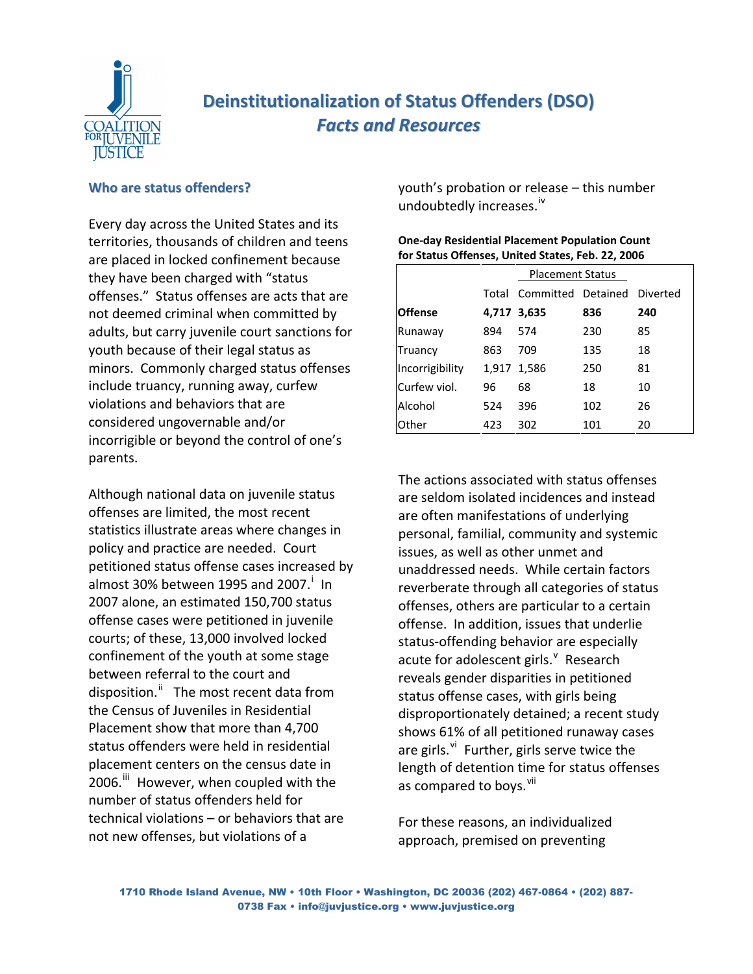

# **Deinstitutionalization of Status Offenders (DSO)** *Facts and Resources*

# **Who are status offenders?**

Every day across the United States and its territories, thousands of children and teens are placed in locked confinement because they have been charged with "status offenses." Status offenses are acts that are not deemed criminal when committed by adults, but carry juvenile court sanctions for youth because of their legal status as minors. Commonly charged status offenses include truancy, running away, curfew violations and behaviors that are considered ungovernable and/or incorrigible or beyond the control of one's parents.

Although national data on juvenile status offenses are limited, the most recent statistics illustrate areas where changes in policy and practice are needed. Court petitioned status offense cases increased by almost 30% between 1995 and 2007. $^{\dagger}$  In 2007 alone, an estimated 150,700 status offense cases were petitioned in juvenile courts; of these, 13,000 involved locked confinement of the youth at some stage between referral to the court and disposition.<sup>[ii](#page-6-1)</sup> The most recent data from the Census of Juveniles in Residential Placement show that more than 4,700 status offenders were held in residential placement centers on the census date in 2006.<sup>[iii](#page-6-1)</sup> However, when coupled with the number of status offenders held for technical violations – or behaviors that are not new offenses, but violations of a

youth's probation or release – this number undoubtedly increases.<sup>[iv](#page-6-1)</sup>

**One‐day Residential Placement Population Count for Status Offenses, United States, Feb. 22, 2006**

|                 |     | <b>Placement Status</b>           |     |     |
|-----------------|-----|-----------------------------------|-----|-----|
|                 |     | Total Committed Detained Diverted |     |     |
| <b>Offense</b>  |     | 4,717 3,635                       | 836 | 240 |
| Runaway         | 894 | 574                               | 230 | 85  |
| Truancy         | 863 | 709                               | 135 | 18  |
| Incorrigibility |     | 1,917 1,586                       | 250 | 81  |
| Curfew viol.    | 96  | 68                                | 18  | 10  |
| Alcohol         | 524 | 396                               | 102 | 26  |
| <b>Other</b>    | 423 | 302                               | 101 | 20  |

The actions associated with status offenses are seldom isolated incidences and instead are often manifestations of underlying personal, familial, community and systemic issues, as well as other unmet and unaddressed needs. While certain factors reverberate through all categories of status offenses, others are particular to a certain offense. In addition, issues that underlie status‐offending behavior are especially acute for adolescent girls. $^{\vee}$  $^{\vee}$  $^{\vee}$  Research reveals gender disparities in petitioned status offense cases, with girls being

disproportionately detained; a recent study shows 61% of all petitioned runaway cases are girls. $v_i$  Further, girls serve twice the length of detention time for status offenses as compared to boys.<sup>[vii](#page-6-1)</sup>

For these reasons, an individualized approach, premised on preventing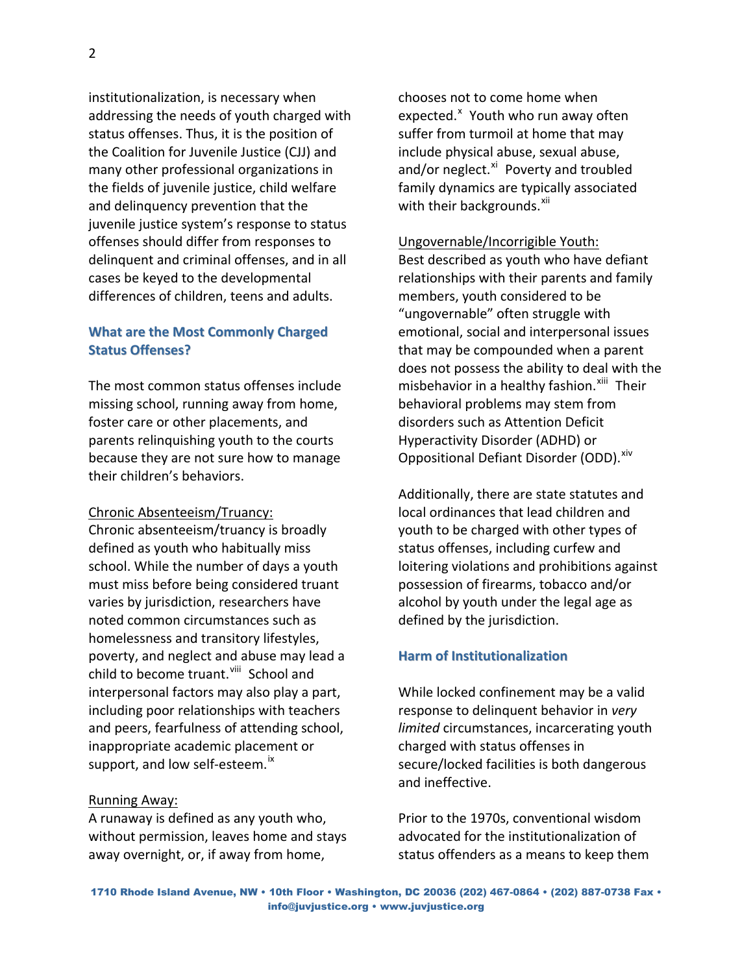institutionalization, is necessary when addressing the needs of youth charged with status offenses. Thus, it is the position of the Coalition for Juvenile Justice (CJJ) and many other professional organizations in the fields of juvenile justice, child welfare and delinquency prevention that the juvenile justice system's response to status offenses should differ from responses to delinquent and criminal offenses, and in all cases be keyed to the developmental differences of children, teens and adults.

# **What are the Most Commonly Charged Status Offenses?**

The most common status offenses include missing school, running away from home, foster care or other placements, and parents relinquishing youth to the courts because they are not sure how to manage their children's behaviors.

# Chronic Absenteeism/Truancy:

Chronic absenteeism/truancy is broadly defined as youth who habitually miss school. While the number of days a youth must miss before being considered truant varies by jurisdiction, researchers have noted common circumstances such as homelessness and transitory lifestyles, poverty, and neglect and abuse may lead a child to become truant.<sup>[viii](#page-7-0)</sup> School and interpersonal factors may also play a part, including poor relationships with teachers and peers, fearfulness of attending school, inappropriate academic placement or support, and low self-esteem.<sup>[ix](#page-7-0)</sup>

# Running Away:

A runaway is defined as any youth who, without permission, leaves home and stays away overnight, or, if away from home,

chooses not to come home when e[x](#page-7-0)pected.<sup>x</sup> Youth who run away often suffer from turmoil at home that may include physical abuse, sexual abuse, and/or neglect.<sup>[xi](#page-7-0)</sup> Poverty and troubled family dynamics are typically associated with their backgrounds. $x^{\text{iii}}$ 

# Ungovernable/Incorrigible Youth:

Best described as youth who have defiant relationships with their parents and family members, youth considered to be "ungovernable" often struggle with emotional, social and interpersonal issues that may be compounded when a parent does not possess the ability to deal with the misbehavior in a healthy fashion.<sup>[xiii](#page-7-0)</sup> Their behavioral problems may stem from disorders such as Attention Deficit Hyperactivity Disorder (ADHD) or Oppositional Defiant Disorder (ODD). Xiv

Additionally, there are state statutes and local ordinances that lead children and youth to be charged with other types of status offenses, including curfew and loitering violations and prohibitions against possession of firearms, tobacco and/or alcohol by youth under the legal age as defined by the jurisdiction.

# **Harm of Institutionalization**

While locked confinement may be a valid response to delinquent behavior in *very limited* circumstances, incarcerating youth charged with status offenses in secure/locked facilities is both dangerous and ineffective.

Prior to the 1970s, conventional wisdom advocated for the institutionalization of status offenders as a means to keep them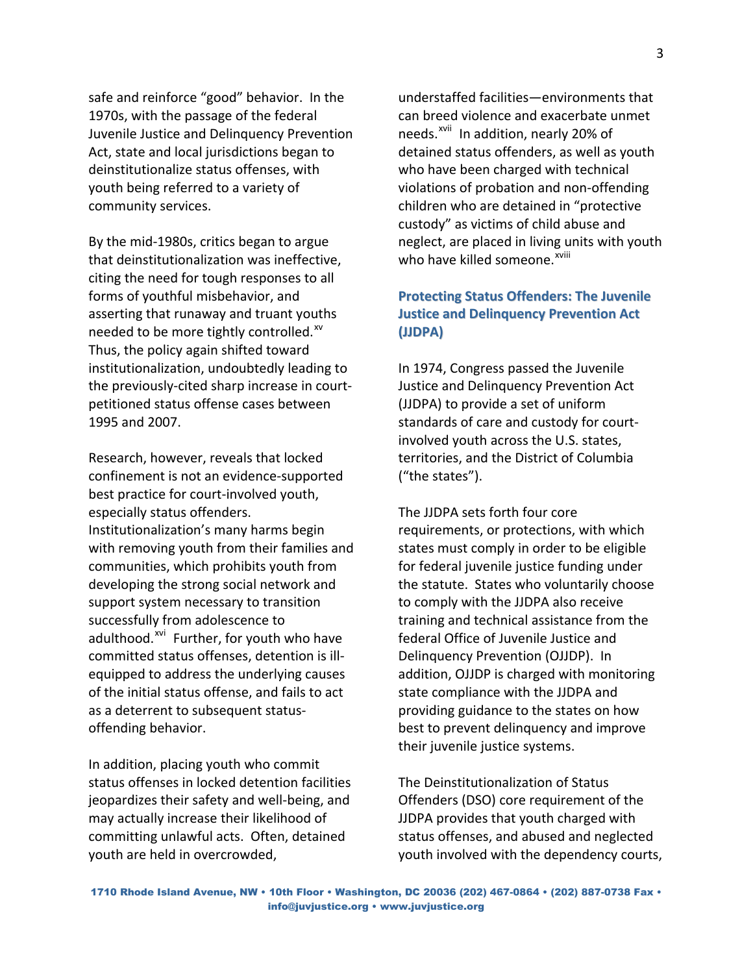safe and reinforce "good" behavior. In the 1970s, with the passage of the federal Juvenile Justice and Delinquency Prevention Act, state and local jurisdictions began to deinstitutionalize status offenses, with youth being referred to a variety of community services.

By the mid‐1980s, critics began to argue that deinstitutionalization was ineffective, citing the need for tough responses to all forms of youthful misbehavior, and asserting that runaway and truant youths needed to be more tightly controlled.<sup>[xv](#page-7-0)</sup> Thus, the policy again shifted toward institutionalization, undoubtedly leading to the previously‐cited sharp increase in court‐ petitioned status offense cases between 1995 and 2007.

Research, however, reveals that locked confinement is not an evidence‐supported best practice for court‐involved youth, especially status offenders. Institutionalization's many harms begin with removing youth from their families and communities, which prohibits youth from developing the strong social network and support system necessary to transition successfully from adolescence to adulthood.<sup>[xvi](#page-7-0)</sup> Further, for youth who have committed status offenses, detention is ill‐ equipped to address the underlying causes of the initial status offense, and fails to act as a deterrent to subsequent status‐ offending behavior.

In addition, placing youth who commit status offenses in locked detention facilities jeopardizes their safety and well‐being, and may actually increase their likelihood of committing unlawful acts. Often, detained youth are held in overcrowded,

understaffed facilities—environments that can breed violence and exacerbate unmet needs.<sup>[xvii](#page-7-0)</sup> In addition, nearly 20% of detained status offenders, as well as youth who have been charged with technical violations of probation and non‐offending children who are detained in "protective custody" as victims of child abuse and neglect, are placed in living units with youth who have killed someone.<sup>[xviii](#page-7-0)</sup>

# **Protecting Status Offenders: The Juvenile Justice and Delinquency Prevention Act (JJDPA)**

In 1974, Congress passed the Juvenile Justice and Delinquency Prevention Act (JJDPA) to provide a set of uniform standards of care and custody for court‐ involved youth across the U.S. states, territories, and the District of Columbia ("the states").

The JJDPA sets forth four core requirements, or protections, with which states must comply in order to be eligible for federal juvenile justice funding under the statute. States who voluntarily choose to comply with the JJDPA also receive training and technical assistance from the federal Office of Juvenile Justice and Delinquency Prevention (OJJDP). In addition, OJJDP is charged with monitoring state compliance with the JJDPA and providing guidance to the states on how best to prevent delinquency and improve their juvenile justice systems.

The Deinstitutionalization of Status Offenders (DSO) core requirement of the JJDPA provides that youth charged with status offenses, and abused and neglected youth involved with the dependency courts,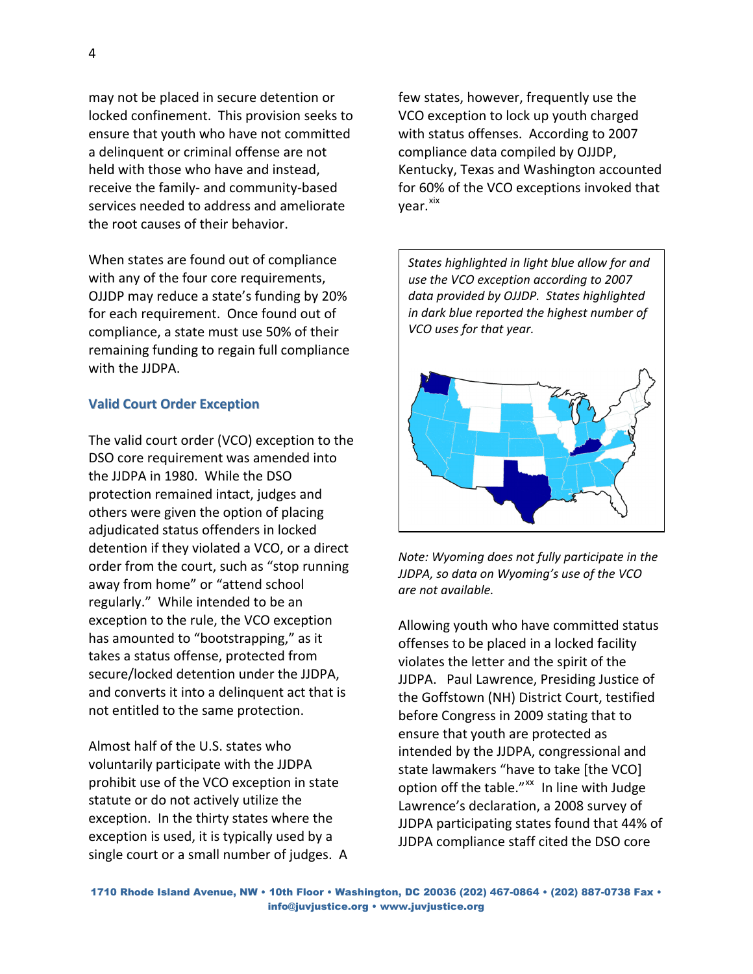may not be placed in secure detention or locked confinement. This provision seeks to ensure that youth who have not committed a delinquent or criminal offense are not held with those who have and instead, receive the family‐ and community‐based services needed to address and ameliorate the root causes of their behavior.

When states are found out of compliance with any of the four core requirements, OJJDP may reduce a state's funding by 20% for each requirement. Once found out of compliance, a state must use 50% of their remaining funding to regain full compliance with the JJDPA.

# **Valid Court Order Exception**

The valid court order (VCO) exception to the DSO core requirement was amended into the JJDPA in 1980. While the DSO protection remained intact, judges and others were given the option of placing adjudicated status offenders in locked detention if they violated a VCO, or a direct order from the court, such as "stop running away from home" or "attend school regularly." While intended to be an exception to the rule, the VCO exception has amounted to "bootstrapping," as it takes a status offense, protected from secure/locked detention under the JJDPA, and converts it into a delinquent act that is not entitled to the same protection.

Almost half of the U.S. states who voluntarily participate with the JJDPA prohibit use of the VCO exception in state statute or do not actively utilize the exception. In the thirty states where the exception is used, it is typically used by a single court or a small number of judges. A

few states, however, frequently use the VCO exception to lock up youth charged with status offenses. According to 2007 compliance data compiled by OJJDP, Kentucky, Texas and Washington accounted for 60% of the VCO exceptions invoked that vear.<sup>[xix](#page-7-0)</sup>

*States highlighted in light blue allow for and use the VCO exception according to 2007 data provided by OJJDP. States highlighted in dark blue reported the highest number of VCO uses for that year.*



*Note: Wyoming does not fully participate in the JJDPA, so data on Wyoming's use of the VCO are not available.*

Allowing youth who have committed status offenses to be placed in a locked facility violates the letter and the spirit of the JJDPA. Paul Lawrence, Presiding Justice of the Goffstown (NH) District Court, testified before Congress in 2009 stating that to ensure that youth are protected as intended by the JJDPA, congressional and state lawmakers "have to take [the VCO] option off the table."<sup>[xx](#page-7-0)</sup> In line with Judge Lawrence's declaration, a 2008 survey of JJDPA participating states found that 44% of JJDPA compliance staff cited the DSO core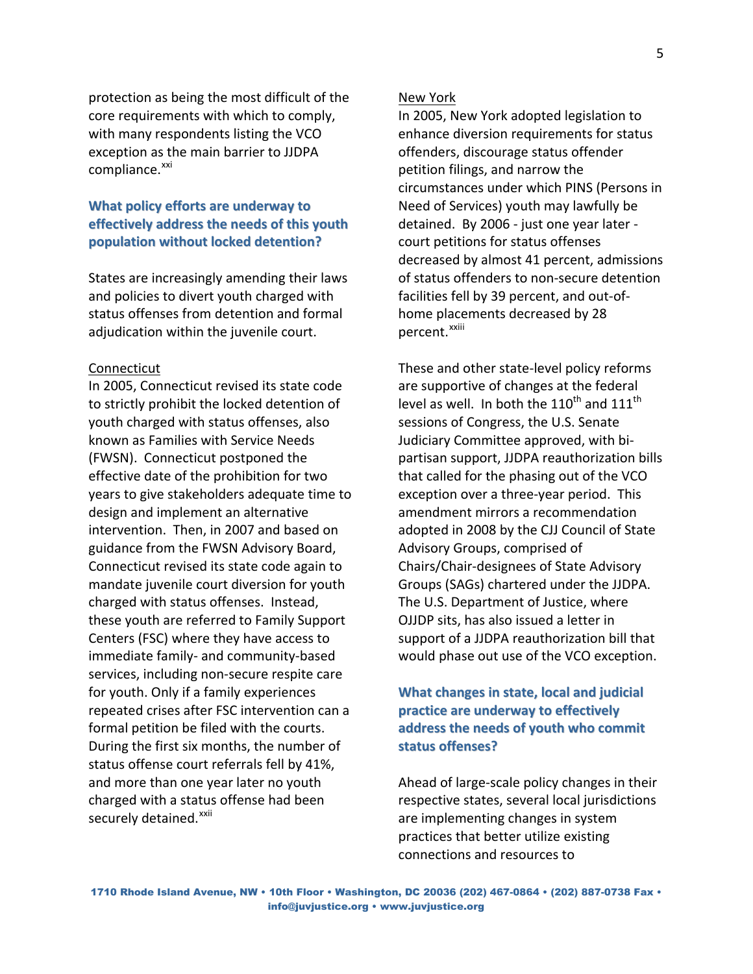protection as being the most difficult of the core requirements with which to comply, with many respondents listing the VCO exception as the main barrier to JJDPA compliance.<sup>[xxi](#page-7-0)</sup>

# **What policy efforts are underway to effectively address the needs of this youth population without locked detention?**

States are increasingly amending their laws and policies to divert youth charged with status offenses from detention and formal adjudication within the juvenile court.

#### Connecticut

In 2005, Connecticut revised its state code to strictly prohibit the locked detention of youth charged with status offenses, also known as Families with Service Needs (FWSN). Connecticut postponed the effective date of the prohibition for two years to give stakeholders adequate time to design and implement an alternative intervention. Then, in 2007 and based on guidance from the FWSN Advisory Board, Connecticut revised its state code again to mandate juvenile court diversion for youth charged with status offenses. Instead, these youth are referred to Family Support Centers (FSC) where they have access to immediate family‐ and community‐based services, including non‐secure respite care for youth. Only if a family experiences repeated crises after FSC intervention can a formal petition be filed with the courts. During the first six months, the number of status offense court referrals fell by 41%, and more than one year later no youth charged with a status offense had been securely detained.<sup>[xxii](#page-7-0)</sup>

### New York

In 2005, New York adopted legislation to enhance diversion requirements for status offenders, discourage status offender petition filings, and narrow the circumstances under which PINS (Persons in Need of Services) youth may lawfully be detained. By 2006 ‐ just one year later ‐ court petitions for status offenses decreased by almost 41 percent, admissions of status offenders to non‐secure detention facilities fell by 39 percent, and out‐of‐ home placements decreased by 28 percent.<sup>[xxiii](#page-7-0)</sup>

These and other state‐level policy reforms are supportive of changes at the federal level as well. In both the  $110^{th}$  and  $111^{th}$ sessions of Congress, the U.S. Senate Judiciary Committee approved, with bi‐ partisan support, JJDPA reauthorization bills that called for the phasing out of the VCO exception over a three‐year period. This amendment mirrors a recommendation adopted in 2008 by the CJJ Council of State Advisory Groups, comprised of Chairs/Chair‐designees of State Advisory Groups (SAGs) chartered under the JJDPA. The U.S. Department of Justice, where OJJDP sits, has also issued a letter in support of a JJDPA reauthorization bill that would phase out use of the VCO exception.

# **What changes in state, local and judicial practice are underway to effectively address the needs of youth who commit status offenses?**

Ahead of large‐scale policy changes in their respective states, several local jurisdictions are implementing changes in system practices that better utilize existing connections and resources to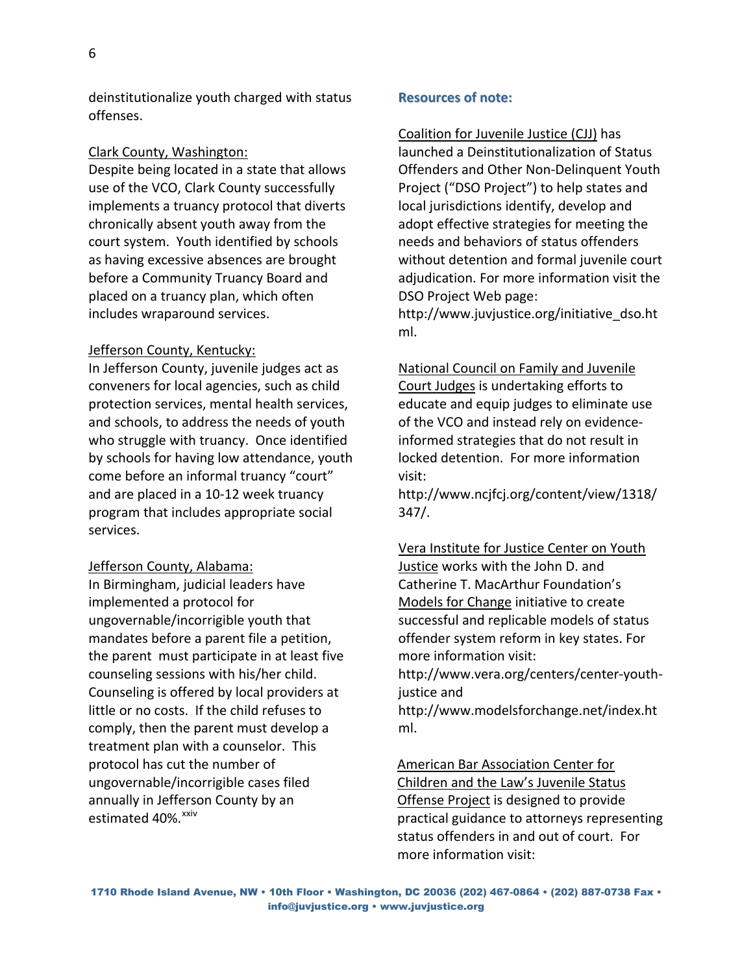deinstitutionalize youth charged with status offenses.

### Clark County, Washington:

Despite being located in a state that allows use of the VCO, Clark County successfully implements a truancy protocol that diverts chronically absent youth away from the court system. Youth identified by schools as having excessive absences are brought before a Community Truancy Board and placed on a truancy plan, which often includes wraparound services.

### Jefferson County, Kentucky:

In Jefferson County, juvenile judges act as conveners for local agencies, such as child protection services, mental health services, and schools, to address the needs of youth who struggle with truancy. Once identified by schools for having low attendance, youth come before an informal truancy "court" and are placed in a 10‐12 week truancy program that includes appropriate social services.

### Jefferson County, Alabama:

In Birmingham, judicial leaders have implemented a protocol for ungovernable/incorrigible youth that mandates before a parent file a petition, the parent must participate in at least five counseling sessions with his/her child. Counseling is offered by local providers at little or no costs. If the child refuses to comply, then the parent must develop a treatment plan with a counselor. This protocol has cut the number of ungovernable/incorrigible cases filed annually in Jefferson County by an estimated 40%.<sup>[xxiv](#page-7-0)</sup>

### **Resources of note:**

### Coalition for Juvenile Justice (CJJ) has

launched a Deinstitutionalization of Status Offenders and Other Non‐Delinquent Youth Project ("DSO Project") to help states and local jurisdictions identify, develop and adopt effective strategies for meeting the needs and behaviors of status offenders without detention and formal juvenile court adjudication. For more information visit the DSO Project Web page:

http://www.juvjustice.org/initiative\_dso.ht ml.

National Council on Family and Juvenile Court Judges is undertaking efforts to educate and equip judges to eliminate use of the VCO and instead rely on evidence‐ informed strategies that do not result in locked detention. For more information visit:

http://www.ncjfcj.org/content/view/1318/ 347/.

Vera Institute for Justice Center on Youth Justice works with the John D. and Catherine T. MacArthur Foundation's Models for Change initiative to create successful and replicable models of status offender system reform in key states. For more information visit:

http://www.vera.org/centers/center‐youth‐ justice and

http://www.modelsforchange.net/index.ht ml.

American Bar Association Center for

Children and the Law's Juvenile Status Offense Project is designed to provide practical guidance to attorneys representing status offenders in and out of court. For more information visit: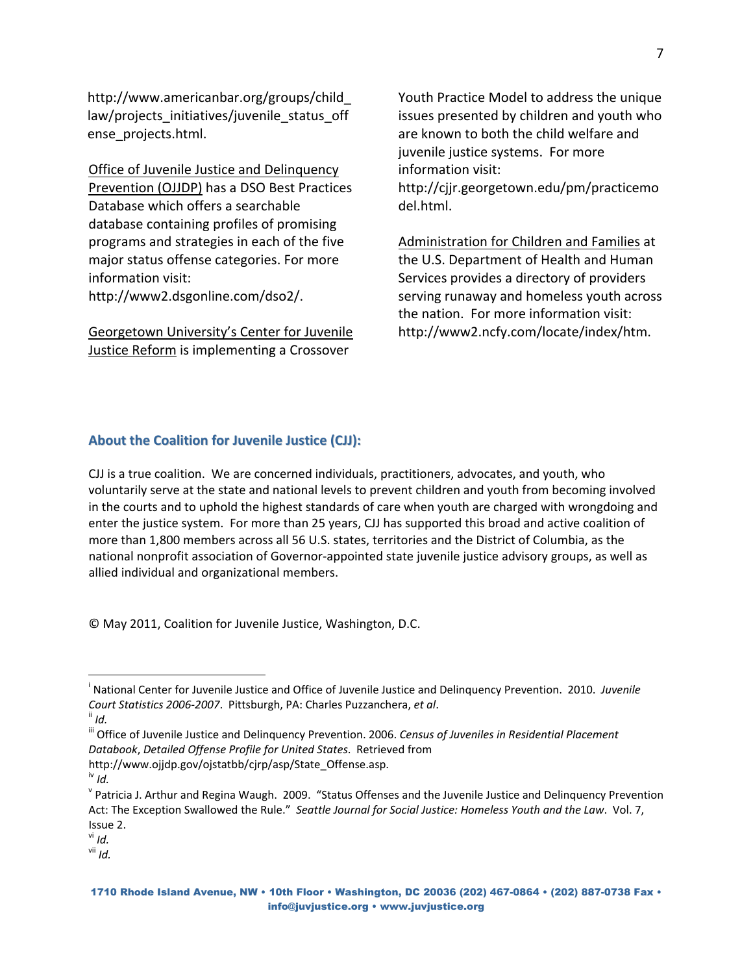http://www.americanbar.org/groups/child\_ law/projects\_initiatives/juvenile\_status\_off ense\_projects.html.

<span id="page-6-1"></span>Office of Juvenile Justice and Delinquency Prevention (OJJDP) has a DSO Best Practices Database which offers a searchable database containing profiles of promising programs and strategies in each of the five major status offense categories. For more information visit: http://www2.dsgonline.com/dso2/.

Georgetown University's Center for Juvenile **Justice Reform** is implementing a Crossover

Youth Practice Model to address the unique issues presented by children and youth who are known to both the child welfare and juvenile justice systems.For more information visit:

http://cjjr.georgetown.edu/pm/practicemo del.html.

Administration for Children and Families at the U.S. Department of Health and Human Services provides a directory of providers serving runaway and homeless youth across the nation. For more information visit: http://www2.ncfy.com/locate/index/htm.

### **About the Coalition for Juvenile Justice (CJJ):**

CJJ is a true coalition. We are concerned individuals, practitioners, advocates, and youth, who voluntarily serve at the state and national levels to prevent children and youth from becoming involved in the courts and to uphold the highest standards of care when youth are charged with wrongdoing and enter the justice system. For more than 25 years, CJJ has supported this broad and active coalition of more than 1,800 members across all 56 U.S. states, territories and the District of Columbia, as the national nonprofit association of Governor‐appointed state juvenile justice advisory groups, as well as allied individual and organizational members.

© May 2011, Coalition for Juvenile Justice, Washington, D.C.

1

iii Office of Juvenile Justice and Delinquency Prevention. 2006. *Census of Juveniles in Residential Placement Databook*, *Detailed Offense Profile for United States*. Retrieved from http://www.ojjdp.gov/ojstatbb/cjrp/asp/State\_Offense.asp. iv *Id.* 

vii *Id.*

<span id="page-6-0"></span>i National Center for Juvenile Justice and Office of Juvenile Justice and Delinquency Prevention. 2010. *Juvenile Court Statistics <sup>2006</sup>‐2007*. Pittsburgh, PA: Charles Puzzanchera, *et al*. ii *Id.*

<sup>&</sup>lt;sup>v</sup> Patricia J. Arthur and Regina Waugh. 2009. "Status Offenses and the Juvenile Justice and Delinquency Prevention Act: The Exception Swallowed the Rule." *Seattle Journal for Social Justice: Homeless Youth and the Law*. Vol. 7, Issue 2. vi *Id.*